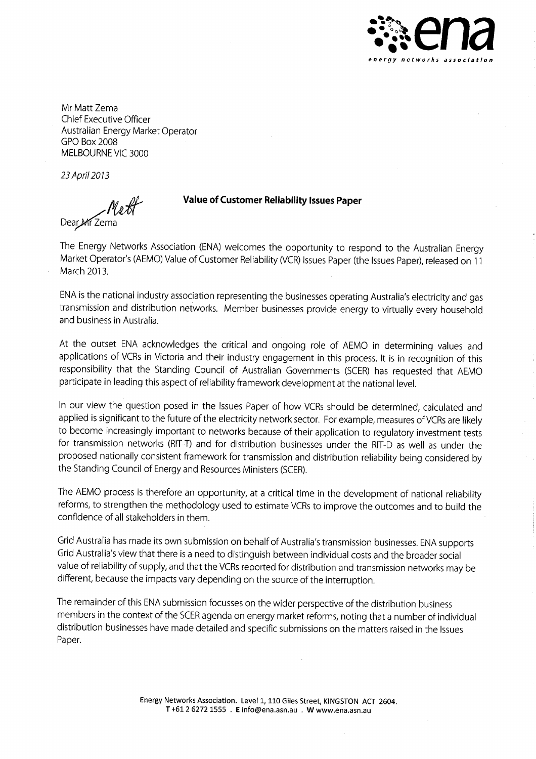

Mr Matt Zema Chief Executive Officer Australian Energy Market Operator GPO Box 2008 MELBOURNE VIC 3000

23April2073

rruff Dear\_Mr Z

#### **Value of Customer Reliability Issues Paper**

The Energy Networks Association (ENA) welcomes the opportunity to respond to the Australian Energy Market Operator's (AEMO) Value of Customer Reliability (VCR) Issues Paper (the Issues Paper), released on 11 March 2013.

ENA is the national industry association representing the businesses operating Australia's electricity and gas transmission and distribution networks. Member businesses provide energy to virtually every household and business in Australia.

At the outset ENA acknowledges the critical and ongoing role of AEMO in determining values and applications of VCRs in Victoria and their industry engagement in this process. It is in recognition of this responsibility that the Standing Council of Australian Governments (SCER) has requested that AEMO participate in leading this aspect of reliability framework development at the national level.

In our view the question posed in the Issues Paper of how VCRs should be determined, calculated and applied is significant to the future of the electricity network sector. For example, measures of VCRs are likely to become increasingly important to networks because of their application to regulatory investment tests for transmission networks (RIT-T) and for distribution businesses under the RIT-D as well as under the proposed nationally consistent framework for transmission and distribution reliability being considered by the Standing Council of Energy and Resources Ministers (SCER).

The AEMO process is therefore an opportunity, at a critical time in the development of national reliability reforms, to strengthen the methodology used to estimate VCRs to improve the outcomes and to build the confidence of all stakeholders in them.

Grid Australia has made its own submission on behalf of Australia's transmission businesses. ENA supports Grid Australia's view that there is a need to distinguish between individual costs and the broader social value of reliability of supply, and that the VCRs reported for distribution and transmission networks may be different, because the impacts vary depending on the source of the interruption.

The remainder of this ENA submission focusses on the wider perspective of the distribution business members in the context of the SCER agenda on energy market reforms, noting that a number of individual distribution businesses have made detailed and specific submissions on the matters raised in the Issues Paper.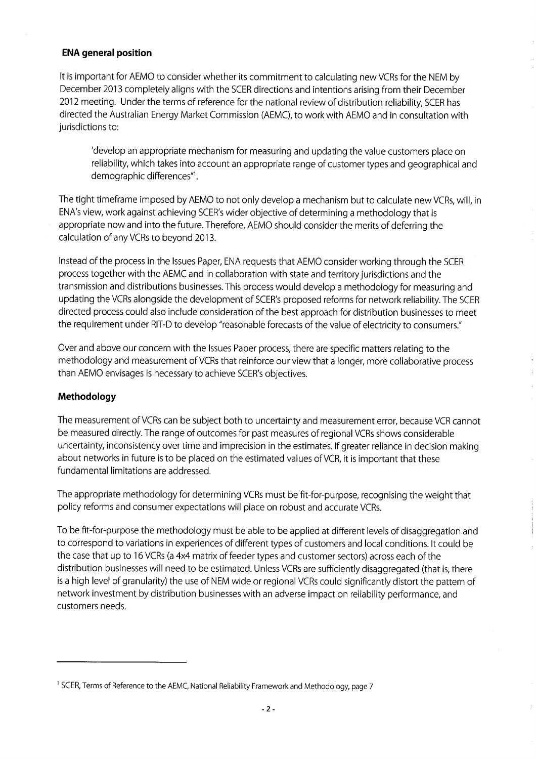# **ENA general position**

It is important for AEMO to consider whether its commitment to calculating new VCRs for the NEM by December 2013 completely aligns with the SCER directions and intentions arising from their December 2012 meeting. Under the terms of reference for the national review of distribution reliability, SCER has directed the Australian Energy Market Commission (AEMC), to work with AEMO and in consultation with jurisdictions to:

'develop an appropriate mechanism for measuring and updating the value customers place on reliability, which takes into account an appropriate range of customer types and geographical and demographic differences"<sup>1</sup> •

The tight timeframe imposed by AEMO to not only develop a mechanism but to calculate new VCRs, will, in ENA's view, work against achieving SCER's wider objective of determining a methodology that is appropriate now and into the future. Therefore, AEMO should consider the merits of deferring the calculation of any VCRs to beyond 2013.

Instead of the process in the Issues Paper, ENA requests that AEMO consider working through the SCER process together with the AEMC and in collaboration with state and territory jurisdictions and the transmission and distributions businesses. This process would develop a methodology for measuring and updating the VCRs alongside the development of SCER's proposed reforms for network reliability. The SCER directed process could also include consideration of the best approach for distribution businesses to meet the requirement under RIT-D to develop "reasonable forecasts of the value of electricity to consumers."

Over and above our concern with the Issues Paper process, there are specific matters relating to the methodology and measurement of VCRs that reinforce our view that a longer, more collaborative process than AEMO envisages is necessary to achieve SCER's objectives.

# **Methodology**

The measurement of VCRs can be subject both to uncertainty and measurement error, because VCR cannot be measured directly. The range of outcomes for past measures of regional VCRs shows considerable uncertainty, inconsistency over time and imprecision in the estimates. If greater reliance in decision making about networks in future is to be placed on the estimated values of VCR, it is important that these fundamental limitations are addressed.

The appropriate methodology for determining VCRs must be fit-for-purpose, recognising the weight that policy reforms and consumer expectations will place on robust and accurate VCRs.

To be fit-for-purpose the methodology must be able to be applied at different levels of disaggregation and to correspond to variations in experiences of different types of customers and local conditions. It could be the case that up to 16 VCRs (a 4x4 matrix of feeder types and customer sectors) across each of the distribution businesses will need to be estimated. Unless VCRs are sufficiently disaggregated (that is, there is a high level of granularity) the use of NEM wide or regional VCRs could significantly distort the pattern of network investment by distribution businesses with an adverse impact on reliability performance, and customers needs.

<sup>&</sup>lt;sup>1</sup> SCER, Terms of Reference to the AEMC, National Reliability Framework and Methodology, page 7